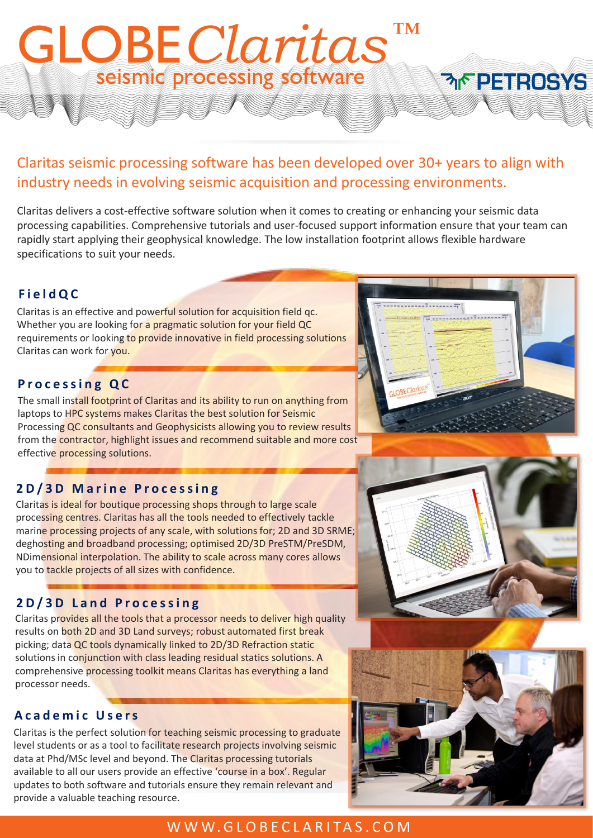## Claritas seismic processing software has been developed over 30+ years to align with industry needs in evolving seismic acquisition and processing environments.

seismic processing software

*™* GLOBE*Claritas*

Claritas delivers a cost-effective software solution when it comes to creating or enhancing your seismic data processing capabilities. Comprehensive tutorials and user-focused support information ensure that your team can rapidly start applying their geophysical knowledge. The low installation footprint allows flexible hardware specifications to suit your needs.

### **F i e l d Q C**

Claritas is an effective and powerful solution for acquisition field qc. Whether you are looking for a pragmatic solution for your field QC requirements or looking to provide innovative in field processing solutions Claritas can work for you.

#### **P r o c e s s i n g Q C**

The small install footprint of Claritas and its ability to run on anything from laptops to HPC systems makes Claritas the best solution for Seismic Processing QC consultants and Geophysicists allowing you to review results from the contractor, highlight issues and recommend suitable and more cost effective processing solutions.

## **2 D / 3 D M a r i n e P r o c e s s i n g**

Claritas is ideal for boutique processing shops through to large scale processing centres. Claritas has all the tools needed to effectively tackle marine processing projects of any scale, with solutions for; 2D and 3D SRME; deghosting and broadband processing; optimised 2D/3D PreSTM/PreSDM, NDimensional interpolation. The ability to scale across many cores allows you to tackle projects of all sizes with confidence.

## **2 D / 3 D L a n d P r o c e s s i n g**

Claritas provides all the tools that a processor needs to deliver high quality results on both 2D and 3D Land surveys; robust automated first break picking; data QC tools dynamically linked to 2D/3D Refraction static solutions in conjunction with class leading residual statics solutions. A comprehensive processing toolkit means Claritas has everything a land processor needs.

#### **A c a d e m i c U s e r s**

Claritas is the perfect solution for teaching seismic processing to graduate level students or as a tool to facilitate research projects involving seismic data at Phd/MSc level and beyond. The Claritas processing tutorials available to all our users provide an effective 'course in a box'. Regular updates to both software and tutorials ensure they remain relevant and provide a valuable teaching resource.

## W W W . G L O B E C L A R I T A S . C O M







**MERETROSYS**